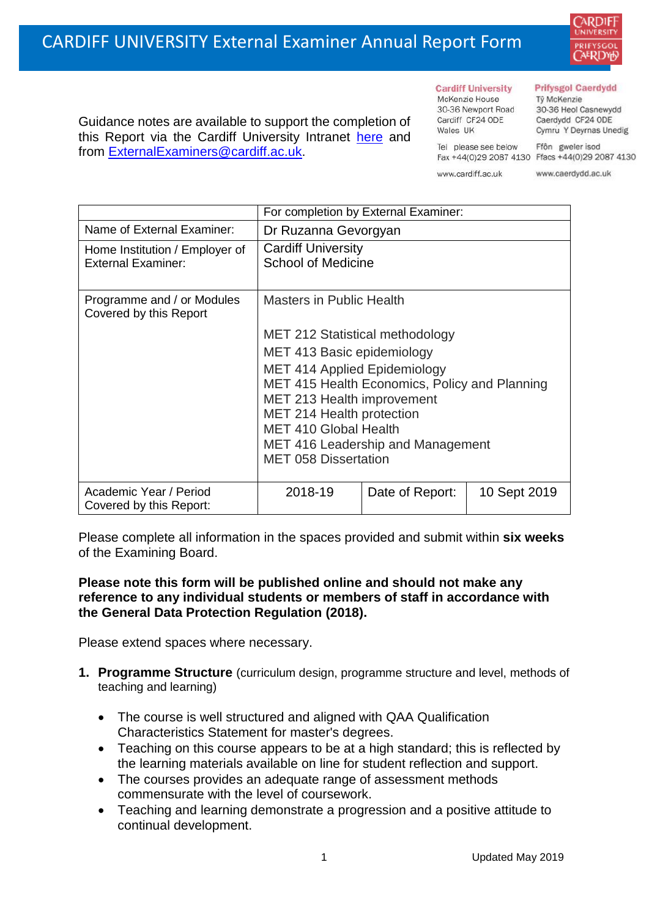Guidance notes are available to support the completion of this Report via the Cardiff University Intranet [here](https://intranet.cardiff.ac.uk/staff/teaching-and-supporting-students/exams-and-assessment/exam-boards-and-external-examiners/for-current-external-examiners/external-examiners-reports) and

from [ExternalExaminers@cardiff.ac.uk.](mailto:ExternalExaminers@cardiff.ac.uk)



#### **Cardiff University** McKenzie House 30-36 Newport Road

Cardiff CF24 ODE

Wales UK

#### **Prifysgol Caerdydd**

Từ McKenzie 30-36 Heol Casnewydd Caerdydd CF24 ODE Cymru Y Deyrnas Unedig

Ffôn gweler isod Fax +44(0)29 2087 4130 Ffacs +44(0)29 2087 4130

www.cardiff.ac.uk

Tel please see below

www.caerdydd.ac.uk

|                                                             | For completion by External Examiner:                                                             |                 |              |  |  |
|-------------------------------------------------------------|--------------------------------------------------------------------------------------------------|-----------------|--------------|--|--|
| Name of External Examiner:                                  | Dr Ruzanna Gevorgyan                                                                             |                 |              |  |  |
| Home Institution / Employer of<br><b>External Examiner:</b> | <b>Cardiff University</b><br><b>School of Medicine</b>                                           |                 |              |  |  |
| Programme and / or Modules<br>Covered by this Report        | <b>Masters in Public Health</b>                                                                  |                 |              |  |  |
|                                                             | <b>MET 212 Statistical methodology</b>                                                           |                 |              |  |  |
|                                                             | MET 413 Basic epidemiology                                                                       |                 |              |  |  |
|                                                             | <b>MET 414 Applied Epidemiology</b>                                                              |                 |              |  |  |
|                                                             | MET 415 Health Economics, Policy and Planning                                                    |                 |              |  |  |
|                                                             | MET 213 Health improvement                                                                       |                 |              |  |  |
|                                                             | MET 214 Health protection                                                                        |                 |              |  |  |
|                                                             | <b>MET 410 Global Health</b><br>MET 416 Leadership and Management<br><b>MET 058 Dissertation</b> |                 |              |  |  |
|                                                             |                                                                                                  |                 |              |  |  |
|                                                             |                                                                                                  |                 |              |  |  |
| Academic Year / Period<br>Covered by this Report:           | 2018-19                                                                                          | Date of Report: | 10 Sept 2019 |  |  |

Please complete all information in the spaces provided and submit within **six weeks** of the Examining Board.

## **Please note this form will be published online and should not make any reference to any individual students or members of staff in accordance with the General Data Protection Regulation (2018).**

Please extend spaces where necessary.

- **1. Programme Structure** (curriculum design, programme structure and level, methods of teaching and learning)
	- The course is well structured and aligned with QAA Qualification Characteristics Statement for master's degrees.
	- Teaching on this course appears to be at a high standard; this is reflected by the learning materials available on line for student reflection and support.
	- The courses provides an adequate range of assessment methods commensurate with the level of coursework.
	- Teaching and learning demonstrate a progression and a positive attitude to continual development.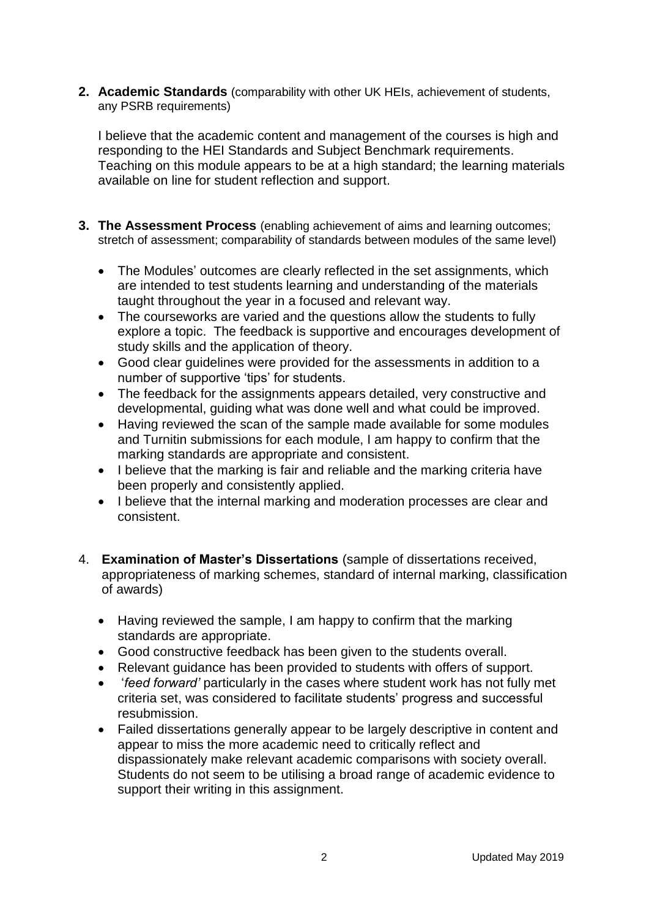**2. Academic Standards** (comparability with other UK HEIs, achievement of students, any PSRB requirements)

I believe that the academic content and management of the courses is high and responding to the HEI Standards and Subject Benchmark requirements. Teaching on this module appears to be at a high standard; the learning materials available on line for student reflection and support.

- **3. The Assessment Process** (enabling achievement of aims and learning outcomes; stretch of assessment; comparability of standards between modules of the same level)
	- The Modules' outcomes are clearly reflected in the set assignments, which are intended to test students learning and understanding of the materials taught throughout the year in a focused and relevant way.
	- The courseworks are varied and the questions allow the students to fully explore a topic. The feedback is supportive and encourages development of study skills and the application of theory.
	- Good clear guidelines were provided for the assessments in addition to a number of supportive 'tips' for students.
	- The feedback for the assignments appears detailed, very constructive and developmental, guiding what was done well and what could be improved.
	- Having reviewed the scan of the sample made available for some modules and Turnitin submissions for each module, I am happy to confirm that the marking standards are appropriate and consistent.
	- I believe that the marking is fair and reliable and the marking criteria have been properly and consistently applied.
	- I believe that the internal marking and moderation processes are clear and consistent.
- 4. **Examination of Master's Dissertations** (sample of dissertations received, appropriateness of marking schemes, standard of internal marking, classification of awards)
	- Having reviewed the sample, I am happy to confirm that the marking standards are appropriate.
	- Good constructive feedback has been given to the students overall.
	- Relevant guidance has been provided to students with offers of support.
	- '*feed forward'* particularly in the cases where student work has not fully met criteria set, was considered to facilitate students' progress and successful resubmission.
	- Failed dissertations generally appear to be largely descriptive in content and appear to miss the more academic need to critically reflect and dispassionately make relevant academic comparisons with society overall. Students do not seem to be utilising a broad range of academic evidence to support their writing in this assignment.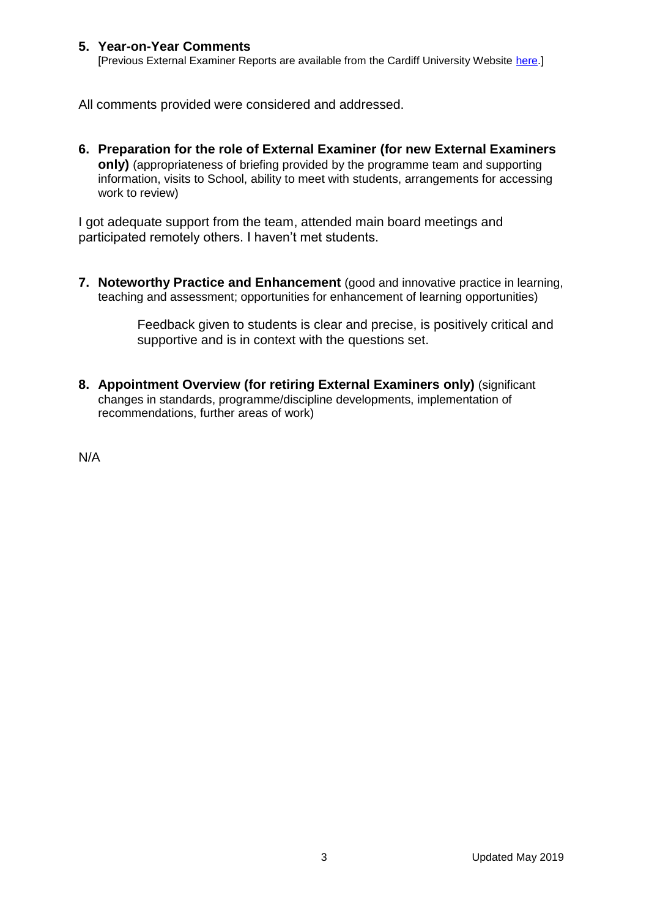### **5. Year-on-Year Comments**

[Previous External Examiner Reports are available from the Cardiff University Website [here.](https://www.cardiff.ac.uk/public-information/quality-and-standards/external-examiner-reports)]

All comments provided were considered and addressed.

**6. Preparation for the role of External Examiner (for new External Examiners only)** (appropriateness of briefing provided by the programme team and supporting information, visits to School, ability to meet with students, arrangements for accessing work to review)

I got adequate support from the team, attended main board meetings and participated remotely others. I haven't met students.

**7. Noteworthy Practice and Enhancement** (good and innovative practice in learning, teaching and assessment; opportunities for enhancement of learning opportunities)

> Feedback given to students is clear and precise, is positively critical and supportive and is in context with the questions set.

**8. Appointment Overview (for retiring External Examiners only)** (significant changes in standards, programme/discipline developments, implementation of recommendations, further areas of work)

N/A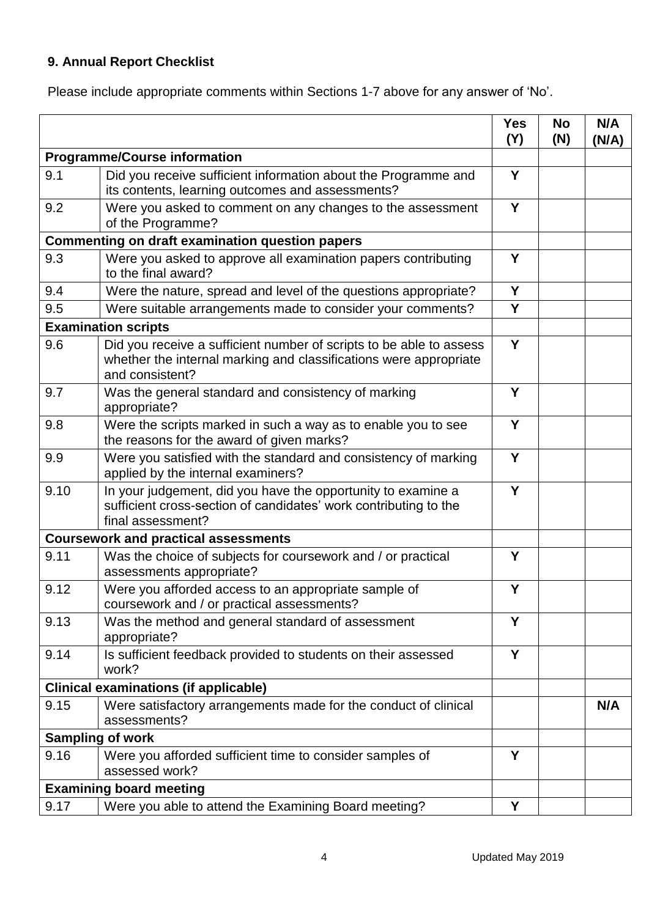# **9. Annual Report Checklist**

Please include appropriate comments within Sections 1-7 above for any answer of 'No'.

|                                                        |                                                                                                                                                             | <b>Yes</b><br>(Y) | <b>No</b><br>(N) | N/A<br>(N/A) |
|--------------------------------------------------------|-------------------------------------------------------------------------------------------------------------------------------------------------------------|-------------------|------------------|--------------|
| <b>Programme/Course information</b>                    |                                                                                                                                                             |                   |                  |              |
| 9.1                                                    | Did you receive sufficient information about the Programme and<br>its contents, learning outcomes and assessments?                                          | Y                 |                  |              |
| 9.2                                                    | Were you asked to comment on any changes to the assessment<br>of the Programme?                                                                             | Y                 |                  |              |
| <b>Commenting on draft examination question papers</b> |                                                                                                                                                             |                   |                  |              |
| 9.3                                                    | Were you asked to approve all examination papers contributing<br>to the final award?                                                                        |                   |                  |              |
| 9.4                                                    | Were the nature, spread and level of the questions appropriate?                                                                                             | Y                 |                  |              |
| 9.5                                                    | Were suitable arrangements made to consider your comments?                                                                                                  | Y                 |                  |              |
|                                                        | <b>Examination scripts</b>                                                                                                                                  |                   |                  |              |
| 9.6                                                    | Did you receive a sufficient number of scripts to be able to assess<br>whether the internal marking and classifications were appropriate<br>and consistent? | Y                 |                  |              |
| 9.7                                                    | Was the general standard and consistency of marking<br>appropriate?                                                                                         | Y                 |                  |              |
| 9.8                                                    | Were the scripts marked in such a way as to enable you to see<br>the reasons for the award of given marks?                                                  | Y                 |                  |              |
| 9.9                                                    | Were you satisfied with the standard and consistency of marking<br>applied by the internal examiners?                                                       | Y                 |                  |              |
| 9.10                                                   | In your judgement, did you have the opportunity to examine a<br>sufficient cross-section of candidates' work contributing to the<br>final assessment?       | Y                 |                  |              |
|                                                        | <b>Coursework and practical assessments</b>                                                                                                                 |                   |                  |              |
| 9.11                                                   | Was the choice of subjects for coursework and / or practical<br>assessments appropriate?                                                                    | Y                 |                  |              |
| 9.12                                                   | Were you afforded access to an appropriate sample of<br>coursework and / or practical assessments?                                                          | Y                 |                  |              |
| 9.13                                                   | Was the method and general standard of assessment<br>appropriate?                                                                                           | Y                 |                  |              |
| 9.14                                                   | Is sufficient feedback provided to students on their assessed<br>work?                                                                                      | Y                 |                  |              |
| <b>Clinical examinations (if applicable)</b>           |                                                                                                                                                             |                   |                  |              |
| 9.15                                                   | Were satisfactory arrangements made for the conduct of clinical<br>assessments?                                                                             |                   |                  | N/A          |
| <b>Sampling of work</b>                                |                                                                                                                                                             |                   |                  |              |
| 9.16                                                   | Were you afforded sufficient time to consider samples of<br>assessed work?                                                                                  | Y                 |                  |              |
|                                                        | <b>Examining board meeting</b>                                                                                                                              |                   |                  |              |
| 9.17                                                   | Were you able to attend the Examining Board meeting?                                                                                                        | Υ                 |                  |              |